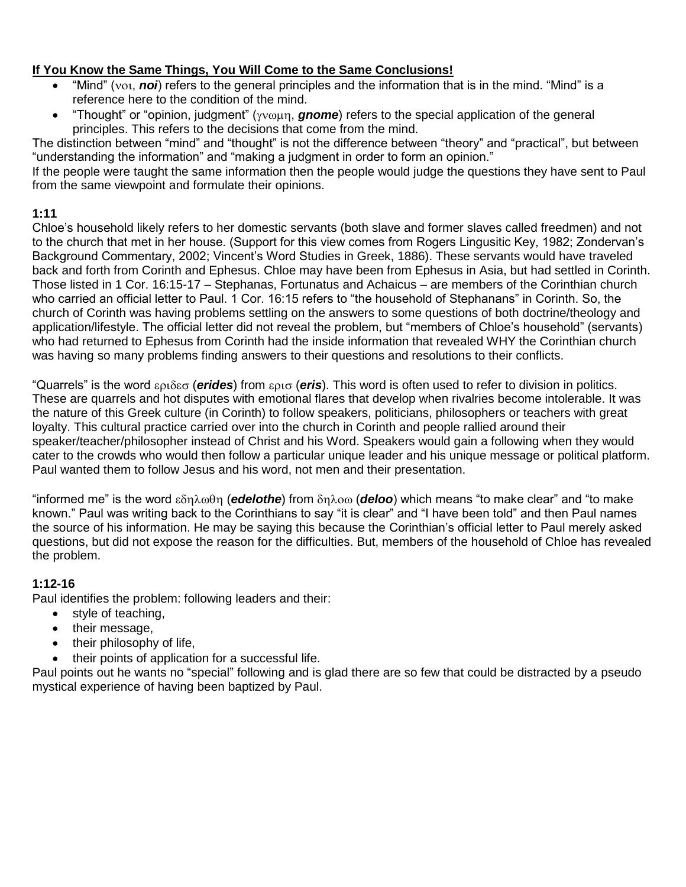### **If You Know the Same Things, You Will Come to the Same Conclusions!**

- "Mind" ( $\text{vol}$ , noi) refers to the general principles and the information that is in the mind. "Mind" is a reference here to the condition of the mind.
- "Thought" or "opinion, judgment" ( $\gamma v \omega \mu \eta$ , **gnome**) refers to the special application of the general principles. This refers to the decisions that come from the mind.

The distinction between "mind" and "thought" is not the difference between "theory" and "practical", but between "understanding the information" and "making a judgment in order to form an opinion."

If the people were taught the same information then the people would judge the questions they have sent to Paul from the same viewpoint and formulate their opinions.

### **1:11**

Chloe's household likely refers to her domestic servants (both slave and former slaves called freedmen) and not to the church that met in her house. (Support for this view comes from Rogers Lingusitic Key, 1982; Zondervan's Background Commentary, 2002; Vincent's Word Studies in Greek, 1886). These servants would have traveled back and forth from Corinth and Ephesus. Chloe may have been from Ephesus in Asia, but had settled in Corinth. Those listed in 1 Cor. 16:15-17 – Stephanas, Fortunatus and Achaicus – are members of the Corinthian church who carried an official letter to Paul. 1 Cor. 16:15 refers to "the household of Stephanans" in Corinth. So, the church of Corinth was having problems settling on the answers to some questions of both doctrine/theology and application/lifestyle. The official letter did not reveal the problem, but "members of Chloe's household" (servants) who had returned to Ephesus from Corinth had the inside information that revealed WHY the Corinthian church was having so many problems finding answers to their questions and resolutions to their conflicts.

"Quarrels" is the word εριδεσ (**erides**) from ερισ (eris). This word is often used to refer to division in politics. These are quarrels and hot disputes with emotional flares that develop when rivalries become intolerable. It was the nature of this Greek culture (in Corinth) to follow speakers, politicians, philosophers or teachers with great loyalty. This cultural practice carried over into the church in Corinth and people rallied around their speaker/teacher/philosopher instead of Christ and his Word. Speakers would gain a following when they would cater to the crowds who would then follow a particular unique leader and his unique message or political platform. Paul wanted them to follow Jesus and his word, not men and their presentation.

"informed me" is the word εδηλωθη (**edelothe**) from δηλοω (**deloo**) which means "to make clear" and "to make known." Paul was writing back to the Corinthians to say "it is clear" and "I have been told" and then Paul names the source of his information. He may be saying this because the Corinthian's official letter to Paul merely asked questions, but did not expose the reason for the difficulties. But, members of the household of Chloe has revealed the problem.

### **1:12-16**

Paul identifies the problem: following leaders and their:

- style of teaching,
- their message,
- their philosophy of life,
- their points of application for a successful life.

Paul points out he wants no "special" following and is glad there are so few that could be distracted by a pseudo mystical experience of having been baptized by Paul.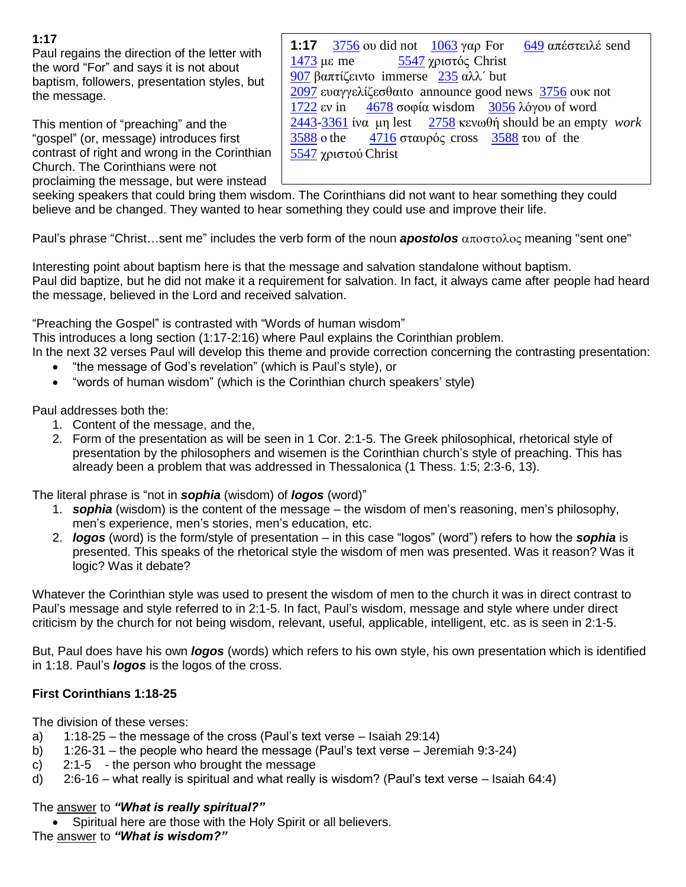## **1:17**

Paul regains the direction of the letter with the word "For" and says it is not about baptism, followers, presentation styles, but the message.

This mention of "preaching" and the "gospel" (or, message) introduces first contrast of right and wrong in the Corinthian Church. The Corinthians were not proclaiming the message, but were instead

**1:17** [3756](http://studybible.info/strongs/G3756) ου did not [1063](http://studybible.info/strongs/G1063) γαρ For [649](http://studybible.info/strongs/G649) απέστειλέ send με me [5547](http://studybible.info/strongs/G5547) χριστός Christ βαπτίζεινto immerse [235](http://studybible.info/strongs/G235) αλλ΄ but ευαγγελίζεσθαιto announce good news [3756](http://studybible.info/strongs/G3756) ουκ not εν in [4678](http://studybible.info/strongs/G4678) σοφία wisdom [3056](http://studybible.info/strongs/G3056) λόγου of word [-3361](http://studybible.info/strongs/G3361) ίνα μη lest [2758](http://studybible.info/strongs/G2758) κενωθή should be an empty *work* ο the [4716](http://studybible.info/strongs/G4716) σταυρός cross [3588](http://studybible.info/strongs/G3588) του of the χριστού Christ

seeking speakers that could bring them wisdom. The Corinthians did not want to hear something they could believe and be changed. They wanted to hear something they could use and improve their life.

Paul's phrase "Christ…sent me" includes the verb form of the noun **apostolos** αποστολος meaning "sent one"

Interesting point about baptism here is that the message and salvation standalone without baptism. Paul did baptize, but he did not make it a requirement for salvation. In fact, it always came after people had heard the message, believed in the Lord and received salvation.

"Preaching the Gospel" is contrasted with "Words of human wisdom"

This introduces a long section (1:17-2:16) where Paul explains the Corinthian problem.

In the next 32 verses Paul will develop this theme and provide correction concerning the contrasting presentation:

- "the message of God's revelation" (which is Paul's style), or
- "words of human wisdom" (which is the Corinthian church speakers' style)

Paul addresses both the:

- 1. Content of the message, and the,
- 2. Form of the presentation as will be seen in 1 Cor. 2:1-5. The Greek philosophical, rhetorical style of presentation by the philosophers and wisemen is the Corinthian church's style of preaching. This has already been a problem that was addressed in Thessalonica (1 Thess. 1:5; 2:3-6, 13).

The literal phrase is "not in *sophia* (wisdom) of *logos* (word)"

- 1. *sophia* (wisdom) is the content of the message the wisdom of men's reasoning, men's philosophy, men's experience, men's stories, men's education, etc.
- 2. *logos* (word) is the form/style of presentation in this case "logos" (word") refers to how the *sophia* is presented. This speaks of the rhetorical style the wisdom of men was presented. Was it reason? Was it logic? Was it debate?

Whatever the Corinthian style was used to present the wisdom of men to the church it was in direct contrast to Paul's message and style referred to in 2:1-5. In fact, Paul's wisdom, message and style where under direct criticism by the church for not being wisdom, relevant, useful, applicable, intelligent, etc. as is seen in 2:1-5.

But, Paul does have his own *logos* (words) which refers to his own style, his own presentation which is identified in 1:18. Paul's *logos* is the logos of the cross.

### **First Corinthians 1:18-25**

The division of these verses:

- a) 1:18-25 the message of the cross (Paul's text verse Isaiah 29:14)
- b) 1:26-31 the people who heard the message (Paul's text verse Jeremiah 9:3-24)
- c) 2:1-5 the person who brought the message
- d) 2:6-16 what really is spiritual and what really is wisdom? (Paul's text verse Isaiah 64:4)

### The answer to *"What is really spiritual?"*

Spiritual here are those with the Holy Spirit or all believers.

The answer to *"What is wisdom?"*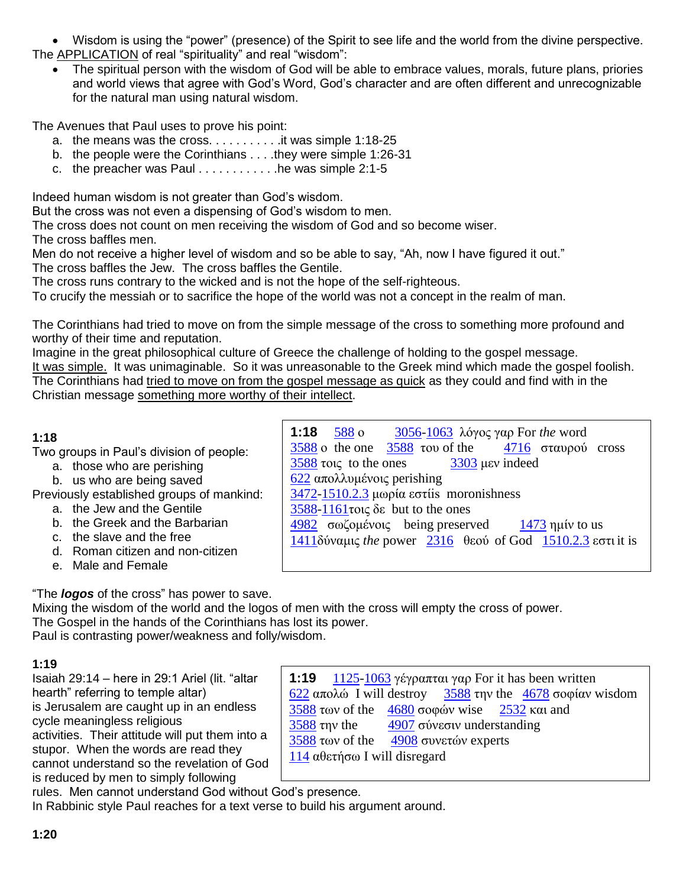Wisdom is using the "power" (presence) of the Spirit to see life and the world from the divine perspective. The **APPLICATION** of real "spirituality" and real "wisdom":

 The spiritual person with the wisdom of God will be able to embrace values, morals, future plans, priories and world views that agree with God's Word, God's character and are often different and unrecognizable for the natural man using natural wisdom.

The Avenues that Paul uses to prove his point:

- a. the means was the cross.  $\dots \dots$  . . . . . . it was simple 1:18-25
- b. the people were the Corinthians . . . .they were simple 1:26-31
- c. the preacher was Paul  $\dots \dots \dots$  he was simple 2:1-5

Indeed human wisdom is not greater than God's wisdom.

But the cross was not even a dispensing of God's wisdom to men.

The cross does not count on men receiving the wisdom of God and so become wiser.

The cross baffles men.

Men do not receive a higher level of wisdom and so be able to say, "Ah, now I have figured it out." The cross baffles the Jew. The cross baffles the Gentile.

The cross runs contrary to the wicked and is not the hope of the self-righteous.

To crucify the messiah or to sacrifice the hope of the world was not a concept in the realm of man.

The Corinthians had tried to move on from the simple message of the cross to something more profound and worthy of their time and reputation.

Imagine in the great philosophical culture of Greece the challenge of holding to the gospel message. It was simple. It was unimaginable. So it was unreasonable to the Greek mind which made the gospel foolish. The Corinthians had tried to move on from the gospel message as quick as they could and find with in the Christian message something more worthy of their intellect.

# **1:18**

Two groups in Paul's division of people:

- a. those who are perishing
- b. us who are being saved

Previously established groups of mankind:

- a. the Jew and the Gentile b. the Greek and the Barbarian
- c. the slave and the free
- 
- d. Roman citizen and non-citizen
- e. Male and Female

**1:18** [588](http://studybible.info/strongs/G3588) ο [3056](http://studybible.info/strongs/G3056)[-1063](http://studybible.info/strongs/G1063) λόγος γαρ For *the* word  $3588$  o the one  $3588$  του of the  $4716$  σταυρού cross [3588](http://studybible.info/strongs/G3588) τοις to the ones [3303](http://studybible.info/strongs/G3303) μεν indeed [622](http://studybible.info/strongs/G622) απολλυμένοις perishing [3472-](http://studybible.info/strongs/G3472)[1510.2.3](http://studybible.info/strongs/G1510.2.3) μωρία εστίis moronishness [3588-](http://studybible.info/strongs/G3588)[1161τ](http://studybible.info/strongs/G1161)οις δε but to the ones [4982](http://studybible.info/strongs/G4982) σωζομένοις being preserved  $1473$  ημίν to us [1411δ](http://studybible.info/strongs/G1411)ύναμις *the* power [2316](http://studybible.info/strongs/G2316) θεού of God [1510.2.3](http://studybible.info/strongs/G1510.2.3) εστι it is

"The *logos* of the cross" has power to save.

Mixing the wisdom of the world and the logos of men with the cross will empty the cross of power. The Gospel in the hands of the Corinthians has lost its power. Paul is contrasting power/weakness and folly/wisdom.

# **1:19**

Isaiah 29:14 – here in 29:1 Ariel (lit. "altar hearth" referring to temple altar) is Jerusalem are caught up in an endless cycle meaningless religious activities. Their attitude will put them into a stupor. When the words are read they cannot understand so the revelation of God is reduced by men to simply following

| 1:19 1125-1063 γέγραπται γαρ For it has been written                                    |
|-----------------------------------------------------------------------------------------|
| <u>622</u> απολώ I will destroy 3588 την the 4678 σοφίαν wisdom                         |
| 3588 $\tau \omega v$ of the 4680 $\sigma \omega \omega v$ wise 2532 $\kappa \alpha$ and |
| 4907 σύνεσιν understanding<br>$\frac{3588}{10}$ ty the                                  |
| 3588 των of the 4908 συνετών experts                                                    |
| $114$ αθετήσω I will disregard                                                          |

rules. Men cannot understand God without God's presence. In Rabbinic style Paul reaches for a text verse to build his argument around.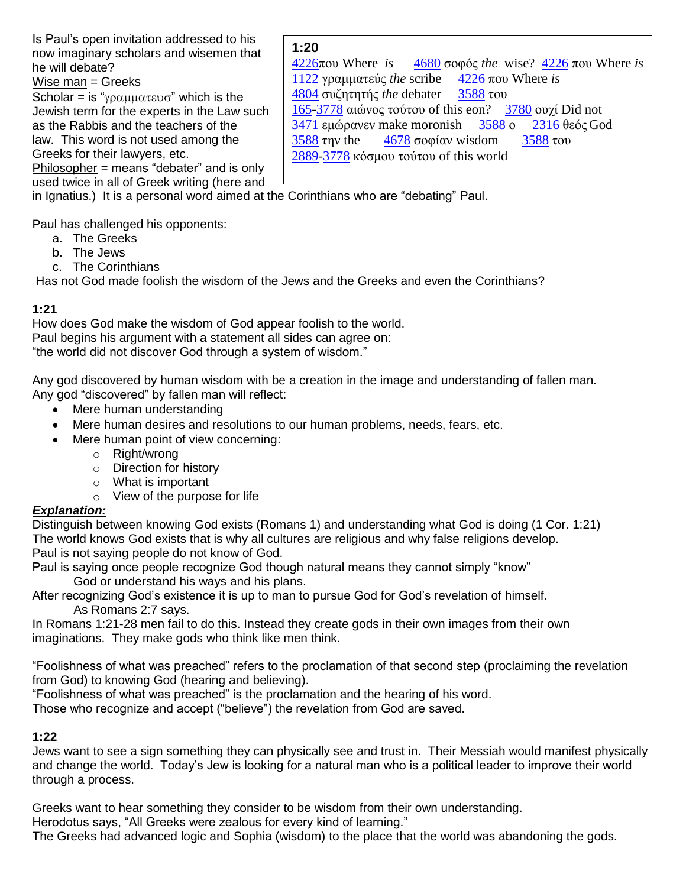Is Paul's open invitation addressed to his now imaginary scholars and wisemen that he will debate?

Wise man = Greeks

Scholar = is " $\gamma \rho \alpha \mu \mu \alpha \tau \epsilon \nu \sigma$ " which is the Jewish term for the experts in the Law such as the Rabbis and the teachers of the law. This word is not used among the Greeks for their lawyers, etc.

Philosopher = means "debater" and is only used twice in all of Greek writing (here and

# **1:20**

[4226π](http://studybible.info/strongs/G4226)ου Where *is* [4680](http://studybible.info/strongs/G4680) σοφός *the* wise? [4226](http://studybible.info/strongs/G4226) που Where *is*  [1122](http://studybible.info/strongs/G1122) γραμματεύς *the* scribe [4226](http://studybible.info/strongs/G4226) που Where *is* [4804](http://studybible.info/strongs/G4804) συζητητής *the* debater [3588](http://studybible.info/strongs/G3588) του [165-](http://studybible.info/strongs/G165)[3778](http://studybible.info/strongs/G3778) αιώνος τούτου of this eon? [3780](http://studybible.info/strongs/G3780) ουχί Did not [3471](http://studybible.info/strongs/G3471) εμώρανεν make moronish [3588](http://studybible.info/strongs/G3588) ο [2316](http://studybible.info/strongs/G2316) θεός God [3588](http://studybible.info/strongs/G3588) την the [4678](http://studybible.info/strongs/G4678) σοφίαν wisdom [3588](http://studybible.info/strongs/G3588) του [2889-](http://studybible.info/strongs/G2889)[3778](http://studybible.info/strongs/G3778) κόσμου τούτου of this world

in Ignatius.) It is a personal word aimed at the Corinthians who are "debating" Paul.

Paul has challenged his opponents:

- a. The Greeks
- b. The Jews
- c. The Corinthians

Has not God made foolish the wisdom of the Jews and the Greeks and even the Corinthians?

## **1:21**

How does God make the wisdom of God appear foolish to the world. Paul begins his argument with a statement all sides can agree on: "the world did not discover God through a system of wisdom."

Any god discovered by human wisdom with be a creation in the image and understanding of fallen man. Any god "discovered" by fallen man will reflect:

- Mere human understanding
- Mere human desires and resolutions to our human problems, needs, fears, etc.
- Mere human point of view concerning:
	- o Right/wrong
	- o Direction for history
	- o What is important
	- o View of the purpose for life

# *Explanation:*

Distinguish between knowing God exists (Romans 1) and understanding what God is doing (1 Cor. 1:21) The world knows God exists that is why all cultures are religious and why false religions develop. Paul is not saying people do not know of God.

Paul is saying once people recognize God though natural means they cannot simply "know"

God or understand his ways and his plans.

After recognizing God's existence it is up to man to pursue God for God's revelation of himself. As Romans 2:7 says.

In Romans 1:21-28 men fail to do this. Instead they create gods in their own images from their own imaginations. They make gods who think like men think.

"Foolishness of what was preached" refers to the proclamation of that second step (proclaiming the revelation from God) to knowing God (hearing and believing).

"Foolishness of what was preached" is the proclamation and the hearing of his word.

Those who recognize and accept ("believe") the revelation from God are saved.

# **1:22**

Jews want to see a sign something they can physically see and trust in. Their Messiah would manifest physically and change the world. Today's Jew is looking for a natural man who is a political leader to improve their world through a process.

Greeks want to hear something they consider to be wisdom from their own understanding. Herodotus says, "All Greeks were zealous for every kind of learning."

The Greeks had advanced logic and Sophia (wisdom) to the place that the world was abandoning the gods.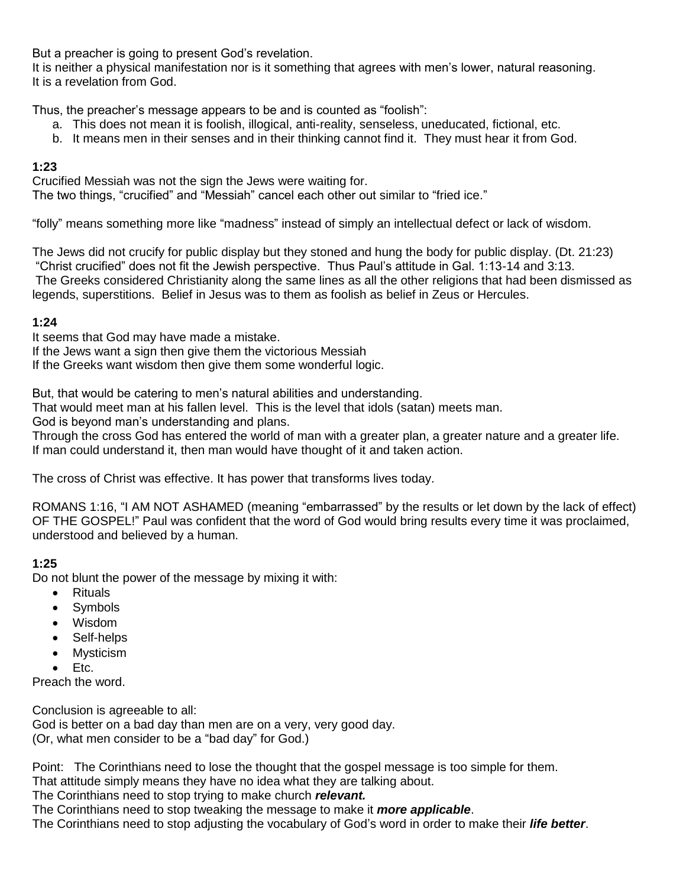But a preacher is going to present God's revelation.

It is neither a physical manifestation nor is it something that agrees with men's lower, natural reasoning. It is a revelation from God.

Thus, the preacher's message appears to be and is counted as "foolish":

- a. This does not mean it is foolish, illogical, anti-reality, senseless, uneducated, fictional, etc.
- b. It means men in their senses and in their thinking cannot find it. They must hear it from God.

### **1:23**

Crucified Messiah was not the sign the Jews were waiting for. The two things, "crucified" and "Messiah" cancel each other out similar to "fried ice."

"folly" means something more like "madness" instead of simply an intellectual defect or lack of wisdom.

The Jews did not crucify for public display but they stoned and hung the body for public display. (Dt. 21:23) "Christ crucified" does not fit the Jewish perspective. Thus Paul's attitude in Gal. 1:13-14 and 3:13. The Greeks considered Christianity along the same lines as all the other religions that had been dismissed as legends, superstitions. Belief in Jesus was to them as foolish as belief in Zeus or Hercules.

### **1:24**

It seems that God may have made a mistake.

If the Jews want a sign then give them the victorious Messiah

If the Greeks want wisdom then give them some wonderful logic.

But, that would be catering to men's natural abilities and understanding.

That would meet man at his fallen level. This is the level that idols (satan) meets man.

God is beyond man's understanding and plans.

Through the cross God has entered the world of man with a greater plan, a greater nature and a greater life. If man could understand it, then man would have thought of it and taken action.

The cross of Christ was effective. It has power that transforms lives today.

ROMANS 1:16, "I AM NOT ASHAMED (meaning "embarrassed" by the results or let down by the lack of effect) OF THE GOSPEL!" Paul was confident that the word of God would bring results every time it was proclaimed, understood and believed by a human.

### **1:25**

Do not blunt the power of the message by mixing it with:

- Rituals
- Symbols
- Wisdom
- Self-helps
- Mysticism
- $\bullet$  Etc.

Preach the word.

Conclusion is agreeable to all: God is better on a bad day than men are on a very, very good day. (Or, what men consider to be a "bad day" for God.)

Point: The Corinthians need to lose the thought that the gospel message is too simple for them.

That attitude simply means they have no idea what they are talking about.

The Corinthians need to stop trying to make church *relevant.*

The Corinthians need to stop tweaking the message to make it *more applicable*.

The Corinthians need to stop adjusting the vocabulary of God's word in order to make their *life better*.